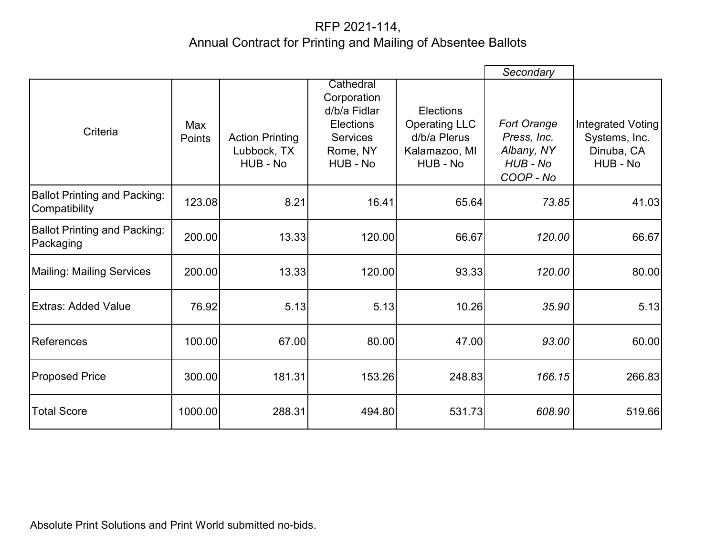## RFP 2021-114, Annual Contract for Printing and Mailing of Absentee Ballots

|                                                      |               |                                                   |                                                                                                         |                                                                                       | Secondary                                                         |                                                              |
|------------------------------------------------------|---------------|---------------------------------------------------|---------------------------------------------------------------------------------------------------------|---------------------------------------------------------------------------------------|-------------------------------------------------------------------|--------------------------------------------------------------|
| Criteria                                             | Max<br>Points | <b>Action Printing</b><br>Lubbock, TX<br>HUB - No | Cathedral<br>Corporation<br>d/b/a Fidlar<br><b>Elections</b><br><b>Services</b><br>Rome, NY<br>HUB - No | <b>Elections</b><br><b>Operating LLC</b><br>d/b/a Plerus<br>Kalamazoo, MI<br>HUB - No | Fort Orange<br>Press, Inc.<br>Albany, NY<br>HUB - No<br>COOP - No | Integrated Voting<br>Systems, Inc.<br>Dinuba, CA<br>HUB - No |
| <b>Ballot Printing and Packing:</b><br>Compatibility | 123.08        | 8.21                                              | 16.41                                                                                                   | 65.64                                                                                 | 73.85                                                             | 41.03                                                        |
| <b>Ballot Printing and Packing:</b><br>Packaging     | 200.00        | 13.33                                             | 120.00                                                                                                  | 66.67                                                                                 | 120.00                                                            | 66.67                                                        |
| <b>Mailing: Mailing Services</b>                     | 200.00        | 13.33                                             | 120.00                                                                                                  | 93.33                                                                                 | 120.00                                                            | 80.00                                                        |
| <b>Extras: Added Value</b>                           | 76.92         | 5.13                                              | 5.13                                                                                                    | 10.26                                                                                 | 35.90                                                             | 5.13                                                         |
| References                                           | 100.00        | 67.00                                             | 80.00                                                                                                   | 47.00                                                                                 | 93.00                                                             | 60.00                                                        |
| <b>Proposed Price</b>                                | 300.00        | 181.31                                            | 153.26                                                                                                  | 248.83                                                                                | 166.15                                                            | 266.83                                                       |
| <b>Total Score</b>                                   | 1000.00       | 288.31                                            | 494.80                                                                                                  | 531.73                                                                                | 608.90                                                            | 519.66                                                       |